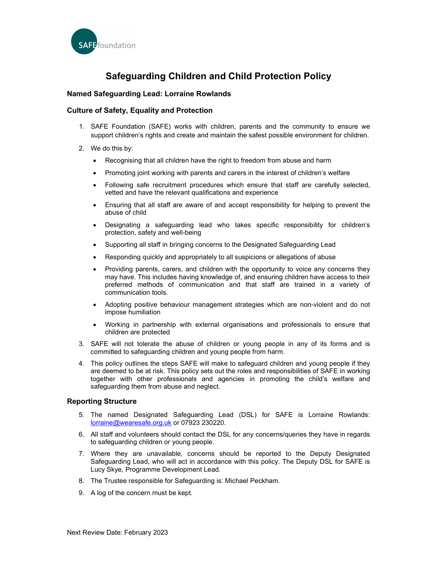

# Safeguarding Children and Child Protection Policy

# Named Safeguarding Lead: Lorraine Rowlands

# Culture of Safety, Equality and Protection

- 1. SAFE Foundation (SAFE) works with children, parents and the community to ensure we support children's rights and create and maintain the safest possible environment for children.
- 2. We do this by:
	- Recognising that all children have the right to freedom from abuse and harm
	- Promoting joint working with parents and carers in the interest of children's welfare
	- Following safe recruitment procedures which ensure that staff are carefully selected, vetted and have the relevant qualifications and experience
	- Ensuring that all staff are aware of and accept responsibility for helping to prevent the abuse of child
	- Designating a safeguarding lead who takes specific responsibility for children's protection, safety and well-being
	- Supporting all staff in bringing concerns to the Designated Safeguarding Lead
	- Responding quickly and appropriately to all suspicions or allegations of abuse
	- Providing parents, carers, and children with the opportunity to voice any concerns they may have. This includes having knowledge of, and ensuring children have access to their preferred methods of communication and that staff are trained in a variety of communication tools.
	- Adopting positive behaviour management strategies which are non-violent and do not impose humiliation
	- Working in partnership with external organisations and professionals to ensure that children are protected
- 3. SAFE will not tolerate the abuse of children or young people in any of its forms and is committed to safeguarding children and young people from harm.
- 4. This policy outlines the steps SAFE will make to safeguard children and young people if they are deemed to be at risk. This policy sets out the roles and responsibilities of SAFE in working together with other professionals and agencies in promoting the child's welfare and safeguarding them from abuse and neglect.

# Reporting Structure

- 5. The named Designated Safeguarding Lead (DSL) for SAFE is Lorraine Rowlands: lorraine@wearesafe.org.uk or 07923 230220.
- 6. All staff and volunteers should contact the DSL for any concerns/queries they have in regards to safeguarding children or young people.
- 7. Where they are unavailable, concerns should be reported to the Deputy Designated Safeguarding Lead, who will act in accordance with this policy. The Deputy DSL for SAFE is Lucy Skye, Programme Development Lead.
- 8. The Trustee responsible for Safeguarding is: Michael Peckham.
- 9. A log of the concern must be kept.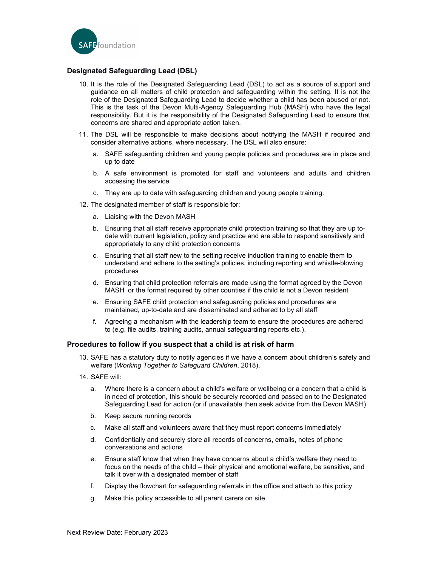

# Designated Safeguarding Lead (DSL)

- 10. It is the role of the Designated Safeguarding Lead (DSL) to act as a source of support and guidance on all matters of child protection and safeguarding within the setting. It is not the role of the Designated Safeguarding Lead to decide whether a child has been abused or not. This is the task of the Devon Multi-Agency Safeguarding Hub (MASH) who have the legal responsibility. But it is the responsibility of the Designated Safeguarding Lead to ensure that concerns are shared and appropriate action taken.
- 11. The DSL will be responsible to make decisions about notifying the MASH if required and consider alternative actions, where necessary. The DSL will also ensure:
	- a. SAFE safeguarding children and young people policies and procedures are in place and up to date
	- b. A safe environment is promoted for staff and volunteers and adults and children accessing the service
	- c. They are up to date with safeguarding children and young people training.
- 12. The designated member of staff is responsible for:
	- a. Liaising with the Devon MASH
	- b. Ensuring that all staff receive appropriate child protection training so that they are up todate with current legislation, policy and practice and are able to respond sensitively and appropriately to any child protection concerns
	- c. Ensuring that all staff new to the setting receive induction training to enable them to understand and adhere to the setting's policies, including reporting and whistle-blowing procedures
	- d. Ensuring that child protection referrals are made using the format agreed by the Devon MASH or the format required by other counties if the child is not a Devon resident
	- e. Ensuring SAFE child protection and safeguarding policies and procedures are maintained, up-to-date and are disseminated and adhered to by all staff
	- f. Agreeing a mechanism with the leadership team to ensure the procedures are adhered to (e.g. file audits, training audits, annual safeguarding reports etc.).

### Procedures to follow if you suspect that a child is at risk of harm

- 13. SAFE has a statutory duty to notify agencies if we have a concern about children's safety and welfare (Working Together to Safeguard Children, 2018).
- 14. SAFE will:
	- a. Where there is a concern about a child's welfare or wellbeing or a concern that a child is in need of protection, this should be securely recorded and passed on to the Designated Safeguarding Lead for action (or if unavailable then seek advice from the Devon MASH)
	- b. Keep secure running records
	- c. Make all staff and volunteers aware that they must report concerns immediately
	- d. Confidentially and securely store all records of concerns, emails, notes of phone conversations and actions
	- e. Ensure staff know that when they have concerns about a child's welfare they need to focus on the needs of the child – their physical and emotional welfare, be sensitive, and talk it over with a designated member of staff
	- f. Display the flowchart for safeguarding referrals in the office and attach to this policy
	- g. Make this policy accessible to all parent carers on site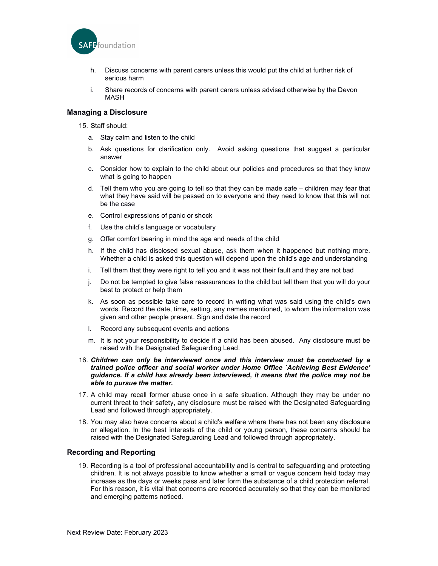

- h. Discuss concerns with parent carers unless this would put the child at further risk of serious harm
- i. Share records of concerns with parent carers unless advised otherwise by the Devon MASH

# Managing a Disclosure

15. Staff should:

- a. Stay calm and listen to the child
- b. Ask questions for clarification only. Avoid asking questions that suggest a particular answer
- c. Consider how to explain to the child about our policies and procedures so that they know what is going to happen
- d. Tell them who you are going to tell so that they can be made safe children may fear that what they have said will be passed on to everyone and they need to know that this will not be the case
- e. Control expressions of panic or shock
- f. Use the child's language or vocabulary
- g. Offer comfort bearing in mind the age and needs of the child
- h. If the child has disclosed sexual abuse, ask them when it happened but nothing more. Whether a child is asked this question will depend upon the child's age and understanding
- i. Tell them that they were right to tell you and it was not their fault and they are not bad
- j. Do not be tempted to give false reassurances to the child but tell them that you will do your best to protect or help them
- k. As soon as possible take care to record in writing what was said using the child's own words. Record the date, time, setting, any names mentioned, to whom the information was given and other people present. Sign and date the record
- l. Record any subsequent events and actions
- m. It is not your responsibility to decide if a child has been abused. Any disclosure must be raised with the Designated Safeguarding Lead.
- 16. Children can only be interviewed once and this interview must be conducted by a trained police officer and social worker under Home Office `Achieving Best Evidence' guidance. If a child has already been interviewed, it means that the police may not be able to pursue the matter.
- 17. A child may recall former abuse once in a safe situation. Although they may be under no current threat to their safety, any disclosure must be raised with the Designated Safeguarding Lead and followed through appropriately.
- 18. You may also have concerns about a child's welfare where there has not been any disclosure or allegation. In the best interests of the child or young person, these concerns should be raised with the Designated Safeguarding Lead and followed through appropriately.

### Recording and Reporting

19. Recording is a tool of professional accountability and is central to safeguarding and protecting children. It is not always possible to know whether a small or vague concern held today may increase as the days or weeks pass and later form the substance of a child protection referral. For this reason, it is vital that concerns are recorded accurately so that they can be monitored and emerging patterns noticed.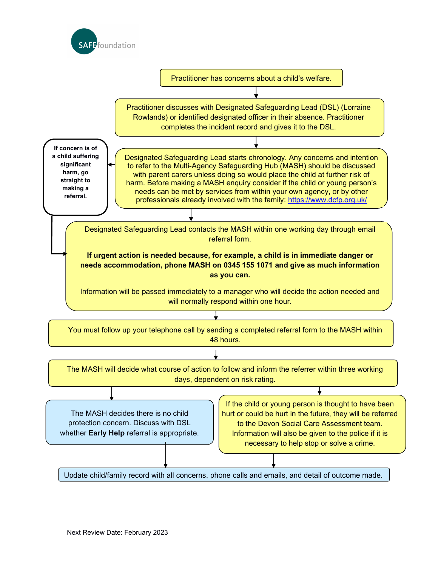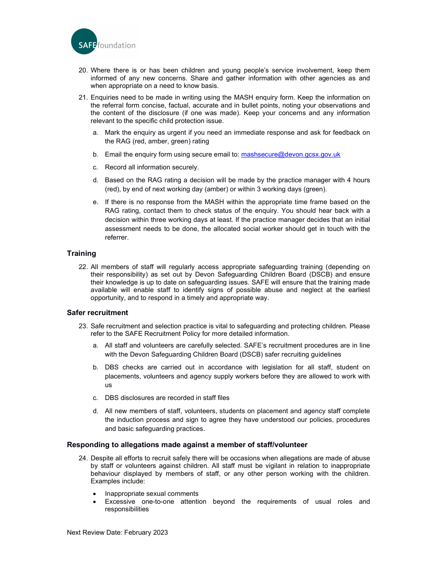

- 20. Where there is or has been children and young people's service involvement, keep them informed of any new concerns. Share and gather information with other agencies as and when appropriate on a need to know basis.
- 21. Enquiries need to be made in writing using the MASH enquiry form. Keep the information on the referral form concise, factual, accurate and in bullet points, noting your observations and the content of the disclosure (if one was made). Keep your concerns and any information relevant to the specific child protection issue.
	- a. Mark the enquiry as urgent if you need an immediate response and ask for feedback on the RAG (red, amber, green) rating
	- b. Email the enquiry form using secure email to: mashsecure@devon.gcsx.gov.uk
	- c. Record all information securely.
	- d. Based on the RAG rating a decision will be made by the practice manager with 4 hours (red), by end of next working day (amber) or within 3 working days (green).
	- e. If there is no response from the MASH within the appropriate time frame based on the RAG rating, contact them to check status of the enquiry. You should hear back with a decision within three working days at least. If the practice manager decides that an initial assessment needs to be done, the allocated social worker should get in touch with the referrer.

# **Training**

22. All members of staff will regularly access appropriate safeguarding training (depending on their responsibility) as set out by Devon Safeguarding Children Board (DSCB) and ensure their knowledge is up to date on safeguarding issues. SAFE will ensure that the training made available will enable staff to identify signs of possible abuse and neglect at the earliest opportunity, and to respond in a timely and appropriate way.

# Safer recruitment

- 23. Safe recruitment and selection practice is vital to safeguarding and protecting children. Please refer to the SAFE Recruitment Policy for more detailed information.
	- a. All staff and volunteers are carefully selected. SAFE's recruitment procedures are in line with the Devon Safeguarding Children Board (DSCB) safer recruiting guidelines
	- b. DBS checks are carried out in accordance with legislation for all staff, student on placements, volunteers and agency supply workers before they are allowed to work with us
	- c. DBS disclosures are recorded in staff files
	- d. All new members of staff, volunteers, students on placement and agency staff complete the induction process and sign to agree they have understood our policies, procedures and basic safeguarding practices.

# Responding to allegations made against a member of staff/volunteer

- 24. Despite all efforts to recruit safely there will be occasions when allegations are made of abuse by staff or volunteers against children. All staff must be vigilant in relation to inappropriate behaviour displayed by members of staff, or any other person working with the children. Examples include:
	- Inappropriate sexual comments
	- Excessive one-to-one attention beyond the requirements of usual roles and responsibilities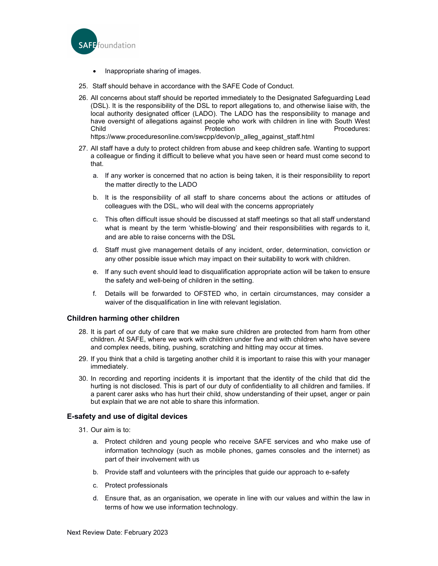

- Inappropriate sharing of images.
- 25. Staff should behave in accordance with the SAFE Code of Conduct.
- 26. All concerns about staff should be reported immediately to the Designated Safeguarding Lead (DSL). It is the responsibility of the DSL to report allegations to, and otherwise liaise with, the local authority designated officer (LADO). The LADO has the responsibility to manage and have oversight of allegations against people who work with children in line with South West Child Protection Procedures: https://www.proceduresonline.com/swcpp/devon/p\_alleg\_against\_staff.html
- 27. All staff have a duty to protect children from abuse and keep children safe. Wanting to support a colleague or finding it difficult to believe what you have seen or heard must come second to that.
	- a. If any worker is concerned that no action is being taken, it is their responsibility to report the matter directly to the LADO
	- b. It is the responsibility of all staff to share concerns about the actions or attitudes of colleagues with the DSL, who will deal with the concerns appropriately
	- c. This often difficult issue should be discussed at staff meetings so that all staff understand what is meant by the term 'whistle-blowing' and their responsibilities with regards to it, and are able to raise concerns with the DSL
	- d. Staff must give management details of any incident, order, determination, conviction or any other possible issue which may impact on their suitability to work with children.
	- e. If any such event should lead to disqualification appropriate action will be taken to ensure the safety and well-being of children in the setting.
	- f. Details will be forwarded to OFSTED who, in certain circumstances, may consider a waiver of the disqualification in line with relevant legislation.

# Children harming other children

- 28. It is part of our duty of care that we make sure children are protected from harm from other children. At SAFE, where we work with children under five and with children who have severe and complex needs, biting, pushing, scratching and hitting may occur at times.
- 29. If you think that a child is targeting another child it is important to raise this with your manager immediately.
- 30. In recording and reporting incidents it is important that the identity of the child that did the hurting is not disclosed. This is part of our duty of confidentiality to all children and families. If a parent carer asks who has hurt their child, show understanding of their upset, anger or pain but explain that we are not able to share this information.

# E-safety and use of digital devices

- 31. Our aim is to:
	- a. Protect children and young people who receive SAFE services and who make use of information technology (such as mobile phones, games consoles and the internet) as part of their involvement with us
	- b. Provide staff and volunteers with the principles that guide our approach to e-safety
	- c. Protect professionals
	- d. Ensure that, as an organisation, we operate in line with our values and within the law in terms of how we use information technology.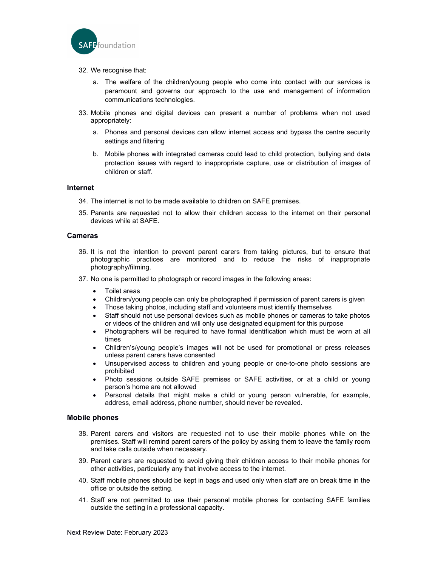

- 32. We recognise that:
	- a. The welfare of the children/young people who come into contact with our services is paramount and governs our approach to the use and management of information communications technologies.
- 33. Mobile phones and digital devices can present a number of problems when not used appropriately:
	- a. Phones and personal devices can allow internet access and bypass the centre security settings and filtering
	- b. Mobile phones with integrated cameras could lead to child protection, bullying and data protection issues with regard to inappropriate capture, use or distribution of images of children or staff.

## Internet

- 34. The internet is not to be made available to children on SAFE premises.
- 35. Parents are requested not to allow their children access to the internet on their personal devices while at SAFE.

### Cameras

- 36. It is not the intention to prevent parent carers from taking pictures, but to ensure that photographic practices are monitored and to reduce the risks of inappropriate photography/filming.
- 37. No one is permitted to photograph or record images in the following areas:
	- Toilet areas
	- Children/young people can only be photographed if permission of parent carers is given
	- Those taking photos, including staff and volunteers must identify themselves
	- Staff should not use personal devices such as mobile phones or cameras to take photos or videos of the children and will only use designated equipment for this purpose
	- Photographers will be required to have formal identification which must be worn at all times
	- Children's/young people's images will not be used for promotional or press releases unless parent carers have consented
	- Unsupervised access to children and young people or one-to-one photo sessions are prohibited
	- Photo sessions outside SAFE premises or SAFE activities, or at a child or young person's home are not allowed
	- Personal details that might make a child or young person vulnerable, for example, address, email address, phone number, should never be revealed.

### Mobile phones

- 38. Parent carers and visitors are requested not to use their mobile phones while on the premises. Staff will remind parent carers of the policy by asking them to leave the family room and take calls outside when necessary.
- 39. Parent carers are requested to avoid giving their children access to their mobile phones for other activities, particularly any that involve access to the internet.
- 40. Staff mobile phones should be kept in bags and used only when staff are on break time in the office or outside the setting.
- 41. Staff are not permitted to use their personal mobile phones for contacting SAFE families outside the setting in a professional capacity.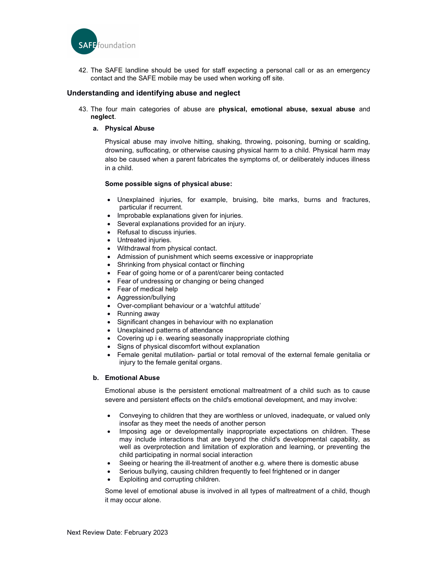

42. The SAFE landline should be used for staff expecting a personal call or as an emergency contact and the SAFE mobile may be used when working off site.

# Understanding and identifying abuse and neglect

43. The four main categories of abuse are physical, emotional abuse, sexual abuse and neglect.

### a. Physical Abuse

Physical abuse may involve hitting, shaking, throwing, poisoning, burning or scalding, drowning, suffocating, or otherwise causing physical harm to a child. Physical harm may also be caused when a parent fabricates the symptoms of, or deliberately induces illness in a child.

#### Some possible signs of physical abuse:

- Unexplained injuries, for example, bruising, bite marks, burns and fractures, particular if recurrent.
- Improbable explanations given for injuries.
- Several explanations provided for an injury.
- Refusal to discuss injuries.
- Untreated injuries.
- Withdrawal from physical contact.
- Admission of punishment which seems excessive or inappropriate
- Shrinking from physical contact or flinching
- Fear of going home or of a parent/carer being contacted
- Fear of undressing or changing or being changed
- Fear of medical help
- Aggression/bullying
- Over-compliant behaviour or a 'watchful attitude'
- Running away
- Significant changes in behaviour with no explanation
- Unexplained patterns of attendance
- Covering up i e. wearing seasonally inappropriate clothing
- Signs of physical discomfort without explanation
- Female genital mutilation- partial or total removal of the external female genitalia or injury to the female genital organs.

#### b. Emotional Abuse

Emotional abuse is the persistent emotional maltreatment of a child such as to cause severe and persistent effects on the child's emotional development, and may involve:

- Conveying to children that they are worthless or unloved, inadequate, or valued only insofar as they meet the needs of another person
- Imposing age or developmentally inappropriate expectations on children. These may include interactions that are beyond the child's developmental capability, as well as overprotection and limitation of exploration and learning, or preventing the child participating in normal social interaction
- Seeing or hearing the ill-treatment of another e.g. where there is domestic abuse
- Serious bullying, causing children frequently to feel frightened or in danger
- Exploiting and corrupting children.

Some level of emotional abuse is involved in all types of maltreatment of a child, though it may occur alone.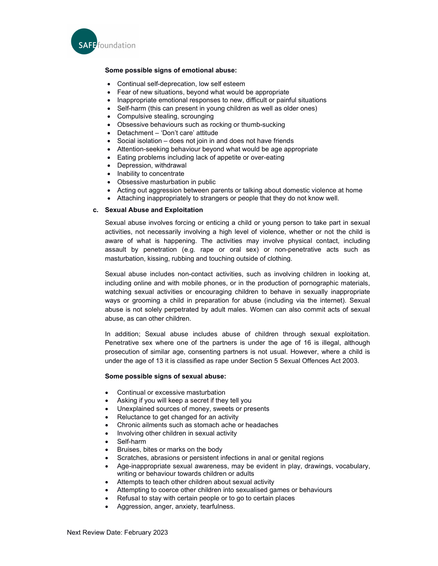

# Some possible signs of emotional abuse:

- Continual self-deprecation, low self esteem
- Fear of new situations, beyond what would be appropriate
- Inappropriate emotional responses to new, difficult or painful situations
- Self-harm (this can present in young children as well as older ones)
- Compulsive stealing, scrounging
- Obsessive behaviours such as rocking or thumb-sucking
- Detachment 'Don't care' attitude
- Social isolation does not join in and does not have friends
- Attention-seeking behaviour beyond what would be age appropriate
- Eating problems including lack of appetite or over-eating
- Depression, withdrawal
- Inability to concentrate
- Obsessive masturbation in public
- Acting out aggression between parents or talking about domestic violence at home
- Attaching inappropriately to strangers or people that they do not know well.

#### c. Sexual Abuse and Exploitation

Sexual abuse involves forcing or enticing a child or young person to take part in sexual activities, not necessarily involving a high level of violence, whether or not the child is aware of what is happening. The activities may involve physical contact, including assault by penetration (e.g. rape or oral sex) or non-penetrative acts such as masturbation, kissing, rubbing and touching outside of clothing.

Sexual abuse includes non-contact activities, such as involving children in looking at, including online and with mobile phones, or in the production of pornographic materials, watching sexual activities or encouraging children to behave in sexually inappropriate ways or grooming a child in preparation for abuse (including via the internet). Sexual abuse is not solely perpetrated by adult males. Women can also commit acts of sexual abuse, as can other children.

In addition; Sexual abuse includes abuse of children through sexual exploitation. Penetrative sex where one of the partners is under the age of 16 is illegal, although prosecution of similar age, consenting partners is not usual. However, where a child is under the age of 13 it is classified as rape under Section 5 Sexual Offences Act 2003.

#### Some possible signs of sexual abuse:

- Continual or excessive masturbation
- Asking if you will keep a secret if they tell you
- Unexplained sources of money, sweets or presents
- Reluctance to get changed for an activity
- Chronic ailments such as stomach ache or headaches
- Involving other children in sexual activity
- Self-harm
- Bruises, bites or marks on the body
- Scratches, abrasions or persistent infections in anal or genital regions
- Age-inappropriate sexual awareness, may be evident in play, drawings, vocabulary, writing or behaviour towards children or adults
- Attempts to teach other children about sexual activity
- Attempting to coerce other children into sexualised games or behaviours
- Refusal to stay with certain people or to go to certain places
- Aggression, anger, anxiety, tearfulness.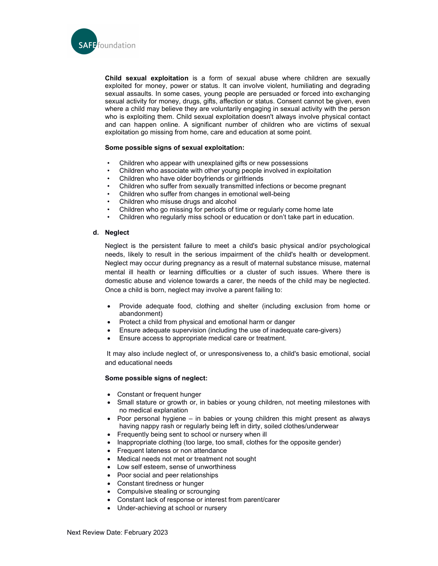

Child sexual exploitation is a form of sexual abuse where children are sexually exploited for money, power or status. It can involve violent, humiliating and degrading sexual assaults. In some cases, young people are persuaded or forced into exchanging sexual activity for money, drugs, gifts, affection or status. Consent cannot be given, even where a child may believe they are voluntarily engaging in sexual activity with the person who is exploiting them. Child sexual exploitation doesn't always involve physical contact and can happen online. A significant number of children who are victims of sexual exploitation go missing from home, care and education at some point.

### Some possible signs of sexual exploitation:

- Children who appear with unexplained gifts or new possessions
- Children who associate with other young people involved in exploitation
- Children who have older boyfriends or girlfriends
- Children who suffer from sexually transmitted infections or become pregnant
- Children who suffer from changes in emotional well-being
- Children who misuse drugs and alcohol
- Children who go missing for periods of time or regularly come home late
- Children who regularly miss school or education or don't take part in education.

### d. Neglect

Neglect is the persistent failure to meet a child's basic physical and/or psychological needs, likely to result in the serious impairment of the child's health or development. Neglect may occur during pregnancy as a result of maternal substance misuse, maternal mental ill health or learning difficulties or a cluster of such issues. Where there is domestic abuse and violence towards a carer, the needs of the child may be neglected. Once a child is born, neglect may involve a parent failing to:

- Provide adequate food, clothing and shelter (including exclusion from home or abandonment)
- Protect a child from physical and emotional harm or danger
- Ensure adequate supervision (including the use of inadequate care-givers)
- Ensure access to appropriate medical care or treatment.

 It may also include neglect of, or unresponsiveness to, a child's basic emotional, social and educational needs

### Some possible signs of neglect:

- Constant or frequent hunger
- Small stature or growth or, in babies or young children, not meeting milestones with no medical explanation
- Poor personal hygiene  $-$  in babies or young children this might present as always having nappy rash or regularly being left in dirty, soiled clothes/underwear
- Frequently being sent to school or nursery when ill
- Inappropriate clothing (too large, too small, clothes for the opposite gender)
- Frequent lateness or non attendance
- Medical needs not met or treatment not sought
- Low self esteem, sense of unworthiness
- Poor social and peer relationships
- Constant tiredness or hunger
- Compulsive stealing or scrounging
- Constant lack of response or interest from parent/carer
- Under-achieving at school or nursery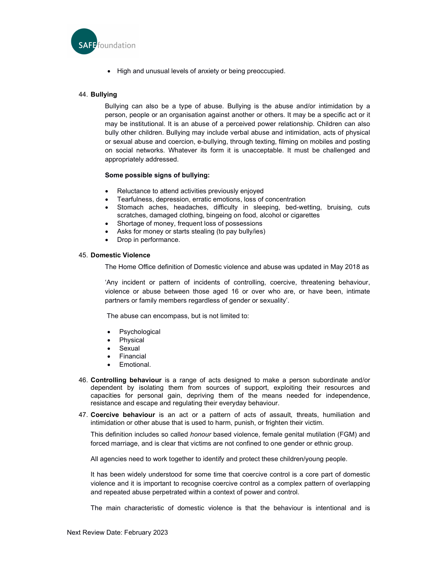

High and unusual levels of anxiety or being preoccupied.

# 44. Bullying

Bullying can also be a type of abuse. Bullying is the abuse and/or intimidation by a person, people or an organisation against another or others. It may be a specific act or it may be institutional. It is an abuse of a perceived power relationship. Children can also bully other children. Bullying may include verbal abuse and intimidation, acts of physical or sexual abuse and coercion, e-bullying, through texting, filming on mobiles and posting on social networks. Whatever its form it is unacceptable. It must be challenged and appropriately addressed.

### Some possible signs of bullying:

- Reluctance to attend activities previously enjoyed
- Tearfulness, depression, erratic emotions, loss of concentration
- Stomach aches, headaches, difficulty in sleeping, bed-wetting, bruising, cuts scratches, damaged clothing, bingeing on food, alcohol or cigarettes
- Shortage of money, frequent loss of possessions
- Asks for money or starts stealing (to pay bully/ies)
- Drop in performance.

## 45. Domestic Violence

The Home Office definition of Domestic violence and abuse was updated in May 2018 as

'Any incident or pattern of incidents of controlling, coercive, threatening behaviour, violence or abuse between those aged 16 or over who are, or have been, intimate partners or family members regardless of gender or sexuality'.

The abuse can encompass, but is not limited to:

- Psychological
- Physical
- Sexual
- Financial
- Emotional.
- 46. Controlling behaviour is a range of acts designed to make a person subordinate and/or dependent by isolating them from sources of support, exploiting their resources and capacities for personal gain, depriving them of the means needed for independence, resistance and escape and regulating their everyday behaviour.
- 47. Coercive behaviour is an act or a pattern of acts of assault, threats, humiliation and intimidation or other abuse that is used to harm, punish, or frighten their victim.

This definition includes so called *honour* based violence, female genital mutilation (FGM) and forced marriage, and is clear that victims are not confined to one gender or ethnic group.

All agencies need to work together to identify and protect these children/young people.

It has been widely understood for some time that coercive control is a core part of domestic violence and it is important to recognise coercive control as a complex pattern of overlapping and repeated abuse perpetrated within a context of power and control.

The main characteristic of domestic violence is that the behaviour is intentional and is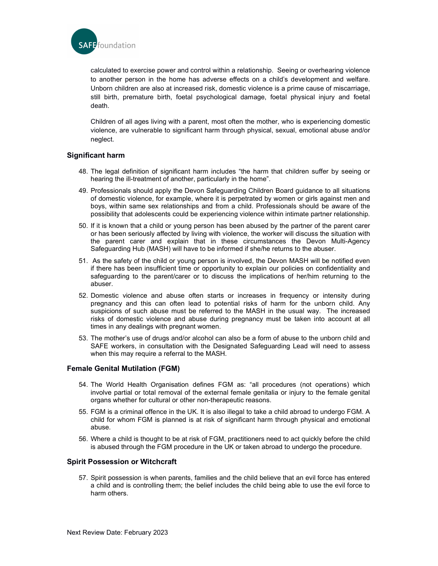

calculated to exercise power and control within a relationship. Seeing or overhearing violence to another person in the home has adverse effects on a child's development and welfare. Unborn children are also at increased risk, domestic violence is a prime cause of miscarriage, still birth, premature birth, foetal psychological damage, foetal physical injury and foetal death.

Children of all ages living with a parent, most often the mother, who is experiencing domestic violence, are vulnerable to significant harm through physical, sexual, emotional abuse and/or neglect.

# Significant harm

- 48. The legal definition of significant harm includes "the harm that children suffer by seeing or hearing the ill-treatment of another, particularly in the home".
- 49. Professionals should apply the Devon Safeguarding Children Board guidance to all situations of domestic violence, for example, where it is perpetrated by women or girls against men and boys, within same sex relationships and from a child. Professionals should be aware of the possibility that adolescents could be experiencing violence within intimate partner relationship.
- 50. If it is known that a child or young person has been abused by the partner of the parent carer or has been seriously affected by living with violence, the worker will discuss the situation with the parent carer and explain that in these circumstances the Devon Multi-Agency Safeguarding Hub (MASH) will have to be informed if she/he returns to the abuser.
- 51. As the safety of the child or young person is involved, the Devon MASH will be notified even if there has been insufficient time or opportunity to explain our policies on confidentiality and safeguarding to the parent/carer or to discuss the implications of her/him returning to the abuser.
- 52. Domestic violence and abuse often starts or increases in frequency or intensity during pregnancy and this can often lead to potential risks of harm for the unborn child. Any suspicions of such abuse must be referred to the MASH in the usual way. The increased risks of domestic violence and abuse during pregnancy must be taken into account at all times in any dealings with pregnant women.
- 53. The mother's use of drugs and/or alcohol can also be a form of abuse to the unborn child and SAFE workers, in consultation with the Designated Safeguarding Lead will need to assess when this may require a referral to the MASH.

# Female Genital Mutilation (FGM)

- 54. The World Health Organisation defines FGM as: "all procedures (not operations) which involve partial or total removal of the external female genitalia or injury to the female genital organs whether for cultural or other non-therapeutic reasons.
- 55. FGM is a criminal offence in the UK. It is also illegal to take a child abroad to undergo FGM. A child for whom FGM is planned is at risk of significant harm through physical and emotional abuse.
- 56. Where a child is thought to be at risk of FGM, practitioners need to act quickly before the child is abused through the FGM procedure in the UK or taken abroad to undergo the procedure.

### Spirit Possession or Witchcraft

57. Spirit possession is when parents, families and the child believe that an evil force has entered a child and is controlling them; the belief includes the child being able to use the evil force to harm others.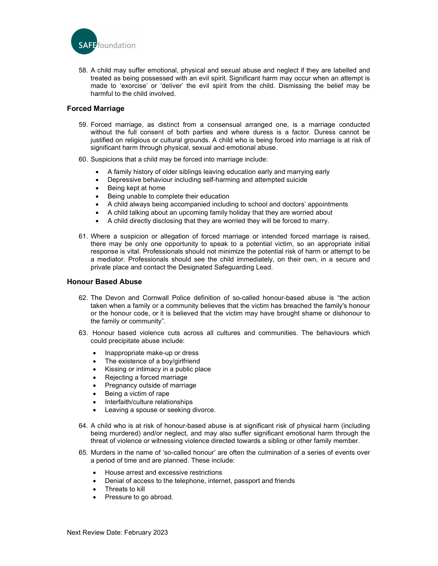

58. A child may suffer emotional, physical and sexual abuse and neglect if they are labelled and treated as being possessed with an evil spirit. Significant harm may occur when an attempt is made to 'exorcise' or 'deliver' the evil spirit from the child. Dismissing the belief may be harmful to the child involved.

# Forced Marriage

- 59. Forced marriage, as distinct from a consensual arranged one, is a marriage conducted without the full consent of both parties and where duress is a factor. Duress cannot be justified on religious or cultural grounds. A child who is being forced into marriage is at risk of significant harm through physical, sexual and emotional abuse.
- 60. Suspicions that a child may be forced into marriage include:
	- A family history of older siblings leaving education early and marrying early
	- Depressive behaviour including self-harming and attempted suicide
	- Being kept at home
	- Being unable to complete their education
	- A child always being accompanied including to school and doctors' appointments
	- A child talking about an upcoming family holiday that they are worried about
	- A child directly disclosing that they are worried they will be forced to marry.
- 61. Where a suspicion or allegation of forced marriage or intended forced marriage is raised, there may be only one opportunity to speak to a potential victim, so an appropriate initial response is vital. Professionals should not minimize the potential risk of harm or attempt to be a mediator. Professionals should see the child immediately, on their own, in a secure and private place and contact the Designated Safeguarding Lead.

## Honour Based Abuse

- 62. The Devon and Cornwall Police definition of so-called honour-based abuse is "the action taken when a family or a community believes that the victim has breached the family's honour or the honour code, or it is believed that the victim may have brought shame or dishonour to the family or community".
- 63. Honour based violence cuts across all cultures and communities. The behaviours which could precipitate abuse include:
	- Inappropriate make-up or dress
	- The existence of a boy/girlfriend<br>• Kissing or intimacy in a public pla
	- Kissing or intimacy in a public place
	- Rejecting a forced marriage
	- Pregnancy outside of marriage
	- Being a victim of rape
	- Interfaith/culture relationships
	- Leaving a spouse or seeking divorce.
- 64. A child who is at risk of honour-based abuse is at significant risk of physical harm (including being murdered) and/or neglect, and may also suffer significant emotional harm through the threat of violence or witnessing violence directed towards a sibling or other family member.
- 65. Murders in the name of 'so-called honour' are often the culmination of a series of events over a period of time and are planned. These include:
	- House arrest and excessive restrictions
	- Denial of access to the telephone, internet, passport and friends
	- Threats to kill
	- Pressure to go abroad.